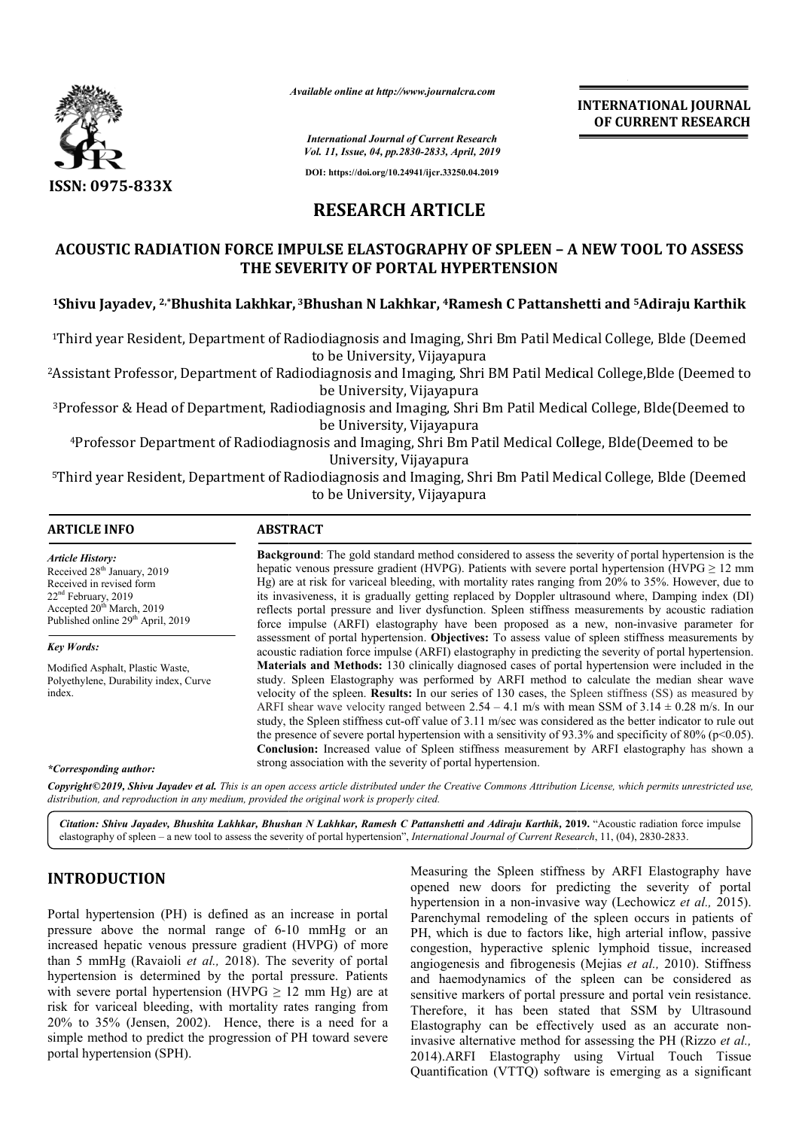

*Available online at http://www.journalcra.com*

**INTERNATIONAL JOURNAL OF CURRENT RESEARCH**

*International Journal of Current Research Vol. 11, Issue, 04, pp.2830-2833, April, 2019*

**DOI: https://doi.org/10.24941/ijcr.33250.04.2019**

# **RESEARCH ARTICLE**

# **ACOUSTIC RADIATION FORCE IMPULSE ELASTOGRAPHY OF SPLEEN – A NEW TOOL TO ASSESS THE SEVERITY OF PORTAL HYPERTENSION**  ACOUSTIC RADIATION FORCE IMPULSE ELASTOGRAPHY OF SPLEEN – A NEW TOOL TO ASSESS<br>THE SEVERITY OF PORTAL HYPERTENSION<br><sup>1</sup>Shivu Jayadev, 2,\*Bhushita Lakhkar, <sup>3</sup>Bhushan N Lakhkar, 4Ramesh C Pattanshetti and <sup>5</sup>Adiraju Karthik

<sup>1</sup>Third year Resident, Department of Radiodiagnosis and Imaging, Shri Bm Patil Medical College, Blde (Deemed to be University, Vijayapura

<sup>2</sup>Assistant Professor, Department of Radiodiagnosis and Imaging, Shri BM Patil Medical College,Blde (Deemed to be University, Vijayapura

<sup>3</sup>Professor & Head of Department, Radiodiagnosis and Imaging, Shri Bm Patil Medical College, Blde(Deemed to be University, Vijayapura basis and Imaging, Shri Bm Patil Medical College, Blde (Deem<br>niversity, Vijayapura<br>is and Imaging, Shri BM Patil Medical College,Blde (Deemec<br>versity, Vijayapura<br>s and Imaging, Shri Bm Patil Medical College, Blde(Deemed to

<sup>4</sup>Professor Department of Radiodiagnosis and Imaging, Shri Bm Patil Medical College, Blde(Deemed to be University, Vijayapura

5Third year Resident, Department of Radiodiagnosis and Imaging, Shri Bm Patil Medical College, Blde (Deemed to be University, Vijayapura

> **Background** : The gold standard method considered to assess the severity of portal hypertension is the **Background**: The gold standard method considered to assess the severity of portal hypertension is the hepatic venous pressure gradient (HVPG). Patients with severe portal hypertension (HVPG  $\geq 12$  mm Hg) are at risk for variceal bleeding, with mortality rates ranging from 20% to 35%. However, due to its invasiveness, it is gradually getting replaced by Doppler ultrasound where, Damping index (DI) reflects portal pressure and liver dysfunction. Spleen stiffness measurements by acoustic radiation

> assessment of portal hypertension. **Objectives:** To assess value of spleen stiffness measurements by assessment of portal hypertension. Objectives: To assess value of spleen stiffness measurements by acoustic radiation force impulse (ARFI) elastography in predicting the severity of portal hypertension. **Materials and Methods:**  130 clinically diagnosed cases of portal hypertension were included in the **Materials and Methods:** 130 clinically diagnosed cases of portal hypertension were included in the study. Spleen Elastography was performed by ARFI method to calculate the median shear wave velocity of the spleen. **Results:** In our series of 130 cases, the Spleen stiffness (SS) as measured by velocity of the spleen. **Results:** In our series of 130 cases, the Spleen stiffness (SS) as measured by ARFI shear wave velocity ranged between  $2.54 - 4.1$  m/s with mean SSM of  $3.14 \pm 0.28$  m/s. In our study, the Spleen stiffness cut-off value of 3.11 m/sec was considered as the better indicator to rule out study, the Spleen stiffness cut-off value of 3.11 m/sec was considered as the better indicator to rule out the presence of severe portal hypertension with a sensitivity of 93.3% and specificity of 80% (p<0.05). **Conclusion:**  Increased value of Spleen stiffness measurement by ARFI elastography has shown a

> its invasiveness, it is gradually getting replaced by Doppler ultrasound where, Damping index (DI) reflects portal pressure and liver dysfunction. Spleen stiffness measurements by acoustic radiation force impulse (ARFI) el

## **ARTICLE INFO ABSTRACT**

*Article History:* Received 28<sup>th</sup> January, 2019 Received in revised form 22nd February, 2019 Accepted 20<sup>th</sup> March, 2019 Published online 29<sup>th</sup> April, 2019

### *Key Words:*

Modified Asphalt, Plastic Waste, Polyethylene, Durability index, Curve index.

*\*Corresponding author:*

strong association with the severity of portal hypertension. Copyright©2019, Shivu Jayadev et al. This is an open access article distributed under the Creative Commons Attribution License, which permits unrestricted use, *distribution, and reproduction in any medium, provided the original work is properly cited.*

force impulse (ARFI) elastography have been proposed as a new, non

Citation: Shivu Jayadev, Bhushita Lakhkar, Bhushan N Lakhkar, Ramesh C Pattanshetti and Adiraju Karthik, 2019. "Acoustic radiation force impulse elastography of spleen – a new tool to assess the severity of portal hypertension", *International Journal of Current Research*, 11, (04), 2830-2833.

# **INTRODUCTION**

Portal hypertension (PH) is defined as an increase in portal pressure above the normal range of 6-10 mmHg or an increased hepatic venous pressure gradient (HVPG) of more than 5 mmHg (Ravaioli *et al.,* 2018). The severity of portal pressure above the normal range of 6-10 mmHg or an increased hepatic venous pressure gradient (HVPG) of more than 5 mmHg (Ravaioli *et al.*, 2018). The severity of portal hypertension is determined by the portal pressure. with severe portal hypertension (HVPG  $\geq$  12 mm Hg) are at risk for variceal bleeding, with mortality rates ranging from 20% to 35% (Jensen, 2002). Hence, there is a need for a simple method to predict the progression of PH toward severe portal hypertension (SPH).

Measuring the Spleen stiffness by ARFI Elastography have opened new doors for predicting the severity of portal Measuring the Spleen stiffness by ARFI Elastography have opened new doors for predicting the severity of portal hypertension in a non-invasive way (Lechowicz *et al.*, 2015). Parenchymal remodeling of the spleen occurs in patients of PH, which is due to factors like, high arterial inflow, passive congestion, hyperactive splenic lymphoid tissue, increased PH, which is due to factors like, high arterial inflow, passive congestion, hyperactive splenic lymphoid tissue, increased angiogenesis and fibrogenesis (Mejias *et al.*, 2010). Stiffness and haemodynamics of the spleen can be considered as sensitive markers of portal pressure and portal vein resistance. Therefore, it has been stated that SSM by Ultrasound Elastography can be effectively used as an accurate non invasive alternative method for assessing the PH (Rizzo *et al.,* 2014).ARFI Elastography using Virtual Touch Tissue Quantification (VTTQ) software is emerging as a significant and haemodynamics of the spleen can be considered as sensitive markers of portal pressure and portal vein resistance.<br>Therefore, it has been stated that SSM by Ultrasound Elastography can be effectively used as an accurate INTERNATIONAL JOURNAL<br>
INTERNATIONAL JOURNAL<br>
In Recent<br>
A Agent 2019<br>
2017 CLIE<br>
TICLE<br>
TICLE<br>
THE SECREMENT RESEARCH<br>
TICLE<br>
THE SECREMENT OF SPLEEN - A NEW TOOL TO ASSESS<br>
HYPERTENSION<br>
<sup>1918</sup> BIT Bin Patil Medical Coll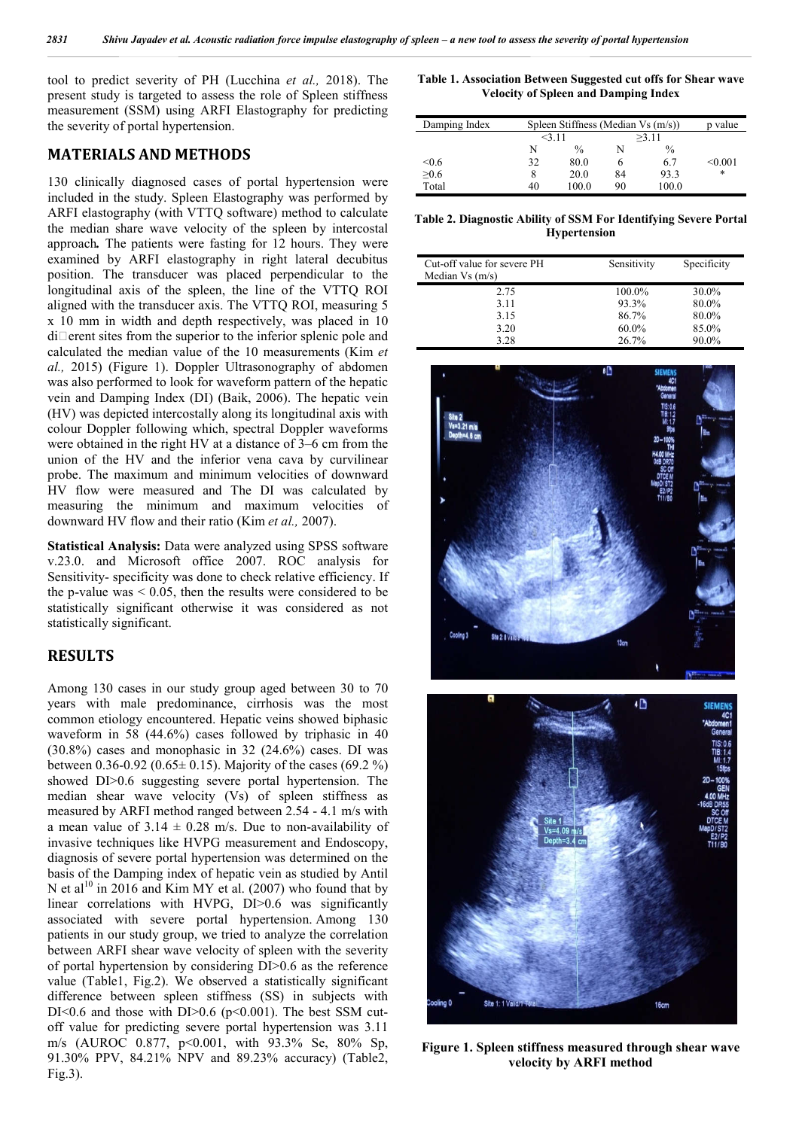tool to predict severity of PH (Lucchina *et al.,* 2018). The present study is targeted to assess the role of Spleen stiffness measurement (SSM) using ARFI Elastography for predicting the severity of portal hypertension.

# **MATERIALS AND METHODS**

130 clinically diagnosed cases of portal hypertension were included in the study. Spleen Elastography was performed by ARFI elastography (with VTTQ software) method to calculate the median share wave velocity of the spleen by intercostal approach*.* The patients were fasting for 12 hours. They were examined by ARFI elastography in right lateral decubitus position. The transducer was placed perpendicular to the longitudinal axis of the spleen, the line of the VTTQ ROI aligned with the transducer axis. The VTTQ ROI, measuring 5 x 10 mm in width and depth respectively, was placed in 10  $di$  erent sites from the superior to the inferior splenic pole and calculated the median value of the 10 measurements (Kim *et al.,* 2015) (Figure 1). Doppler Ultrasonography of abdomen was also performed to look for waveform pattern of the hepatic vein and Damping Index (DI) (Baik, 2006). The hepatic vein (HV) was depicted intercostally along its longitudinal axis with colour Doppler following which, spectral Doppler waveforms were obtained in the right HV at a distance of 3–6 cm from the union of the HV and the inferior vena cava by curvilinear probe. The maximum and minimum velocities of downward HV flow were measured and The DI was calculated by measuring the minimum and maximum velocities of downward HV flow and their ratio (Kim *et al.,* 2007).

**Statistical Analysis:** Data were analyzed using SPSS software v.23.0. and Microsoft office 2007. ROC analysis for Sensitivity- specificity was done to check relative efficiency. If the p-value was  $< 0.05$ , then the results were considered to be statistically significant otherwise it was considered as not statistically significant.

# **RESULTS**

Among 130 cases in our study group aged between 30 to 70 years with male predominance, cirrhosis was the most common etiology encountered. Hepatic veins showed biphasic waveform in 58 (44.6%) cases followed by triphasic in 40 (30.8%) cases and monophasic in 32 (24.6%) cases. DI was between 0.36-0.92 (0.65 $\pm$  0.15). Majority of the cases (69.2 %) showed DI>0.6 suggesting severe portal hypertension. The median shear wave velocity (Vs) of spleen stiffness as measured by ARFI method ranged between 2.54 - 4.1 m/s with a mean value of  $3.14 \pm 0.28$  m/s. Due to non-availability of invasive techniques like HVPG measurement and Endoscopy, diagnosis of severe portal hypertension was determined on the basis of the Damping index of hepatic vein as studied by Antil N et al<sup>10</sup> in 2016 and Kim MY et al. (2007) who found that by linear correlations with HVPG, DI>0.6 was significantly associated with severe portal hypertension. Among 130 patients in our study group, we tried to analyze the correlation between ARFI shear wave velocity of spleen with the severity of portal hypertension by considering DI>0.6 as the reference value (Table1, Fig.2). We observed a statistically significant difference between spleen stiffness (SS) in subjects with DI<0.6 and those with DI $>0.6$  (p<0.001). The best SSM cutoff value for predicting severe portal hypertension was 3.11 m/s (AUROC 0.877, p<0.001, with 93.3% Se, 80% Sp, 91.30% PPV, 84.21% NPV and 89.23% accuracy) (Table2, Fig.3).

**Table 1. Association Between Suggested cut offs for Shear wave Velocity of Spleen and Damping Index**

| Damping Index | Spleen Stiffness (Median $Vs(m/s)$ ) | value         |       |               |         |
|---------------|--------------------------------------|---------------|-------|---------------|---------|
|               | 3.11                                 |               | >3.11 |               |         |
|               | N                                    | $\frac{0}{0}$ | N     | $\frac{0}{0}$ |         |
| < 0.6         | 32                                   | 80.0          | h     | 6.7           | < 0.001 |
| >0.6          |                                      | 20.0          | 84    | 93.3          | $\ast$  |
| Total         | 40                                   | 100.0         | 90    | 100.0         |         |

**Table 2. Diagnostic Ability of SSM For Identifying Severe Portal Hypertension**

| Cut-off value for severe PH<br>Median $Vs(m/s)$ | Sensitivity       | Specificity    |
|-------------------------------------------------|-------------------|----------------|
| 2.75                                            | 100.0%            | 30.0%          |
| 3.11                                            | 93.3%             | 80.0%          |
| 3.15<br>3.20                                    | 86.7%<br>$60.0\%$ | 80.0%<br>85.0% |
| 3.28                                            | 26.7%             | 90.0%          |



**Figure 1. Spleen stiffness measured through shear wave velocity by ARFI method**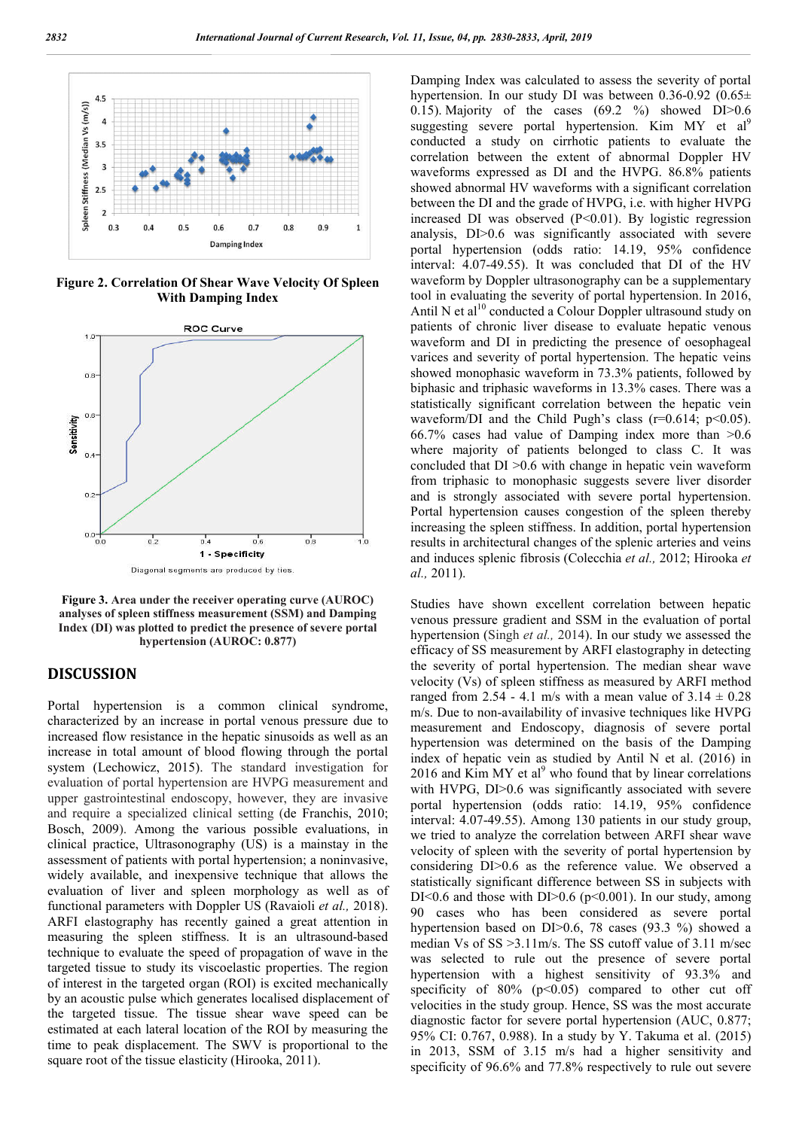

**Figure 2. Correlation Of Shear Wave Velocity Of Spleen With Damping Index**



**Figure 3. Area under the receiver operating curve (AUROC) analyses of spleen stiffness measurement (SSM) and Damping Index (DI) was plotted to predict the presence of severe portal hypertension (AUROC: 0.877)**

# **DISCUSSION**

Portal hypertension is a common clinical syndrome, characterized by an increase in portal venous pressure due to increased flow resistance in the hepatic sinusoids as well as an increase in total amount of blood flowing through the portal system (Lechowicz, 2015). The standard investigation for evaluation of portal hypertension are HVPG measurement and upper gastrointestinal endoscopy, however, they are invasive and require a specialized clinical setting (de Franchis, 2010; Bosch, 2009). Among the various possible evaluations, in clinical practice, Ultrasonography (US) is a mainstay in the assessment of patients with portal hypertension; a noninvasive, widely available, and inexpensive technique that allows the evaluation of liver and spleen morphology as well as of functional parameters with Doppler US (Ravaioli *et al.,* 2018). ARFI elastography has recently gained a great attention in measuring the spleen stiffness. It is an ultrasound-based technique to evaluate the speed of propagation of wave in the targeted tissue to study its viscoelastic properties. The region of interest in the targeted organ (ROI) is excited mechanically by an acoustic pulse which generates localised displacement of the targeted tissue. The tissue shear wave speed can be estimated at each lateral location of the ROI by measuring the time to peak displacement. The SWV is proportional to the square root of the tissue elasticity (Hirooka, 2011).

Damping Index was calculated to assess the severity of portal hypertension. In our study DI was between 0.36-0.92 (0.65± 0.15). Majority of the cases  $(69.2 \text{ %})$  showed DI $> 0.6$ suggesting severe portal hypertension. Kim MY et al<sup>9</sup> conducted a study on cirrhotic patients to evaluate the correlation between the extent of abnormal Doppler HV waveforms expressed as DI and the HVPG. 86.8% patients showed abnormal HV waveforms with a significant correlation between the DI and the grade of HVPG, i.e. with higher HVPG increased DI was observed (P<0.01). By logistic regression analysis, DI>0.6 was significantly associated with severe portal hypertension (odds ratio: 14.19, 95% confidence interval: 4.07-49.55). It was concluded that DI of the HV waveform by Doppler ultrasonography can be a supplementary tool in evaluating the severity of portal hypertension. In 2016, Antil N et al<sup>10</sup> conducted a Colour Doppler ultrasound study on patients of chronic liver disease to evaluate hepatic venous waveform and DI in predicting the presence of oesophageal varices and severity of portal hypertension. The hepatic veins showed monophasic waveform in 73.3% patients, followed by biphasic and triphasic waveforms in 13.3% cases. There was a statistically significant correlation between the hepatic vein waveform/DI and the Child Pugh's class  $(r=0.614; p<0.05)$ . 66.7% cases had value of Damping index more than >0.6 where majority of patients belonged to class C. It was concluded that DI >0.6 with change in hepatic vein waveform from triphasic to monophasic suggests severe liver disorder and is strongly associated with severe portal hypertension. Portal hypertension causes congestion of the spleen thereby increasing the spleen stiffness. In addition, portal hypertension results in architectural changes of the splenic arteries and veins and induces splenic fibrosis (Colecchia *et al.,* 2012; Hirooka *et al.,* 2011).

Studies have shown excellent correlation between hepatic venous pressure gradient and SSM in the evaluation of portal hypertension (Singh *et al.,* 2014). In our study we assessed the efficacy of SS measurement by ARFI elastography in detecting the severity of portal hypertension. The median shear wave velocity (Vs) of spleen stiffness as measured by ARFI method ranged from 2.54 - 4.1 m/s with a mean value of  $3.14 \pm 0.28$ m/s. Due to non-availability of invasive techniques like HVPG measurement and Endoscopy, diagnosis of severe portal hypertension was determined on the basis of the Damping index of hepatic vein as studied by Antil N et al. (2016) in 2016 and Kim MY et  $al^9$  who found that by linear correlations with HVPG, DI $> 0.6$  was significantly associated with severe portal hypertension (odds ratio: 14.19, 95% confidence interval: 4.07-49.55). Among 130 patients in our study group, we tried to analyze the correlation between ARFI shear wave velocity of spleen with the severity of portal hypertension by considering DI>0.6 as the reference value. We observed a statistically significant difference between SS in subjects with DI<0.6 and those with DI $>0.6$  (p $< 0.001$ ). In our study, among 90 cases who has been considered as severe portal hypertension based on DI>0.6, 78 cases (93.3 %) showed a median Vs of SS >3.11m/s. The SS cutoff value of 3.11 m/sec was selected to rule out the presence of severe portal hypertension with a highest sensitivity of 93.3% and specificity of  $80\%$  (p<0.05) compared to other cut off velocities in the study group. Hence, SS was the most accurate diagnostic factor for severe portal hypertension (AUC, 0.877; 95% CI: 0.767, 0.988). In a study by Y. Takuma et al. (2015) in 2013, SSM of 3.15 m/s had a higher sensitivity and specificity of 96.6% and 77.8% respectively to rule out severe